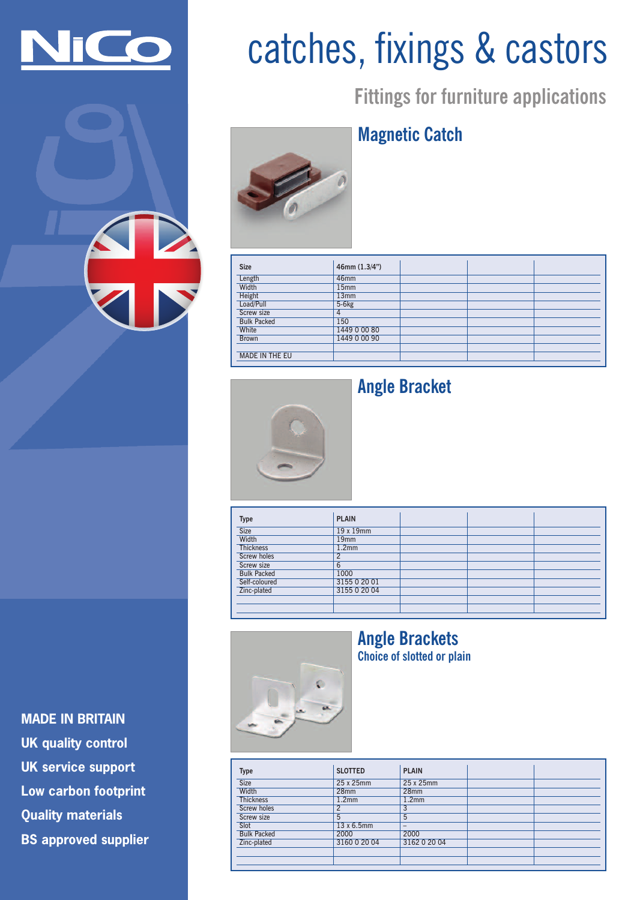

## catches, fixings & castors

**Fittings for furniture applications**

### **Magnetic Catch**



| <b>Size</b>           | 46mm $(1.3/4")$  |  |  |
|-----------------------|------------------|--|--|
| Length                | 46mm             |  |  |
| Width                 | 15 <sub>mm</sub> |  |  |
| Height                | 13mm             |  |  |
| Load/Pull             | $5-6kg$          |  |  |
| Screw size            | 4                |  |  |
| <b>Bulk Packed</b>    | 150              |  |  |
| White                 | 1449 0 00 80     |  |  |
| <b>Brown</b>          | 1449 0 00 90     |  |  |
|                       |                  |  |  |
| <b>MADE IN THE EU</b> |                  |  |  |



#### **Angle Bracket**

| <b>Type</b>        | <b>PLAIN</b>      |  |  |
|--------------------|-------------------|--|--|
| Size               | 19 x 19mm         |  |  |
| Width              | 19 <sub>mm</sub>  |  |  |
| <b>Thickness</b>   | 1.2 <sub>mm</sub> |  |  |
| <b>Screw holes</b> |                   |  |  |
| Screw size         | 6                 |  |  |
| <b>Bulk Packed</b> | 1000              |  |  |
| Self-coloured      | 3155 0 20 01      |  |  |
| Zinc-plated        | 3155 0 20 04      |  |  |
|                    |                   |  |  |
|                    |                   |  |  |



### **Angle Brackets**

**Choice of slotted or plain**

**Type SLOTTED PLAIN** Size 25 x 25mm 25 x 25mm 25 x 25mm 28mm 28mm<br>1.2mm 1.2mm Thickness<sup>1</sup> Screw holes 2 Screw size<br>Slot  $\frac{13 \times 6.5 \text{mm}}{2000}$  – 2000 Bulk Packed 2000 2000 3160 0 20 04

**MADE IN BRITAIN UK quality control UK service support Low carbon footprint Quality materials BS approved supplier**